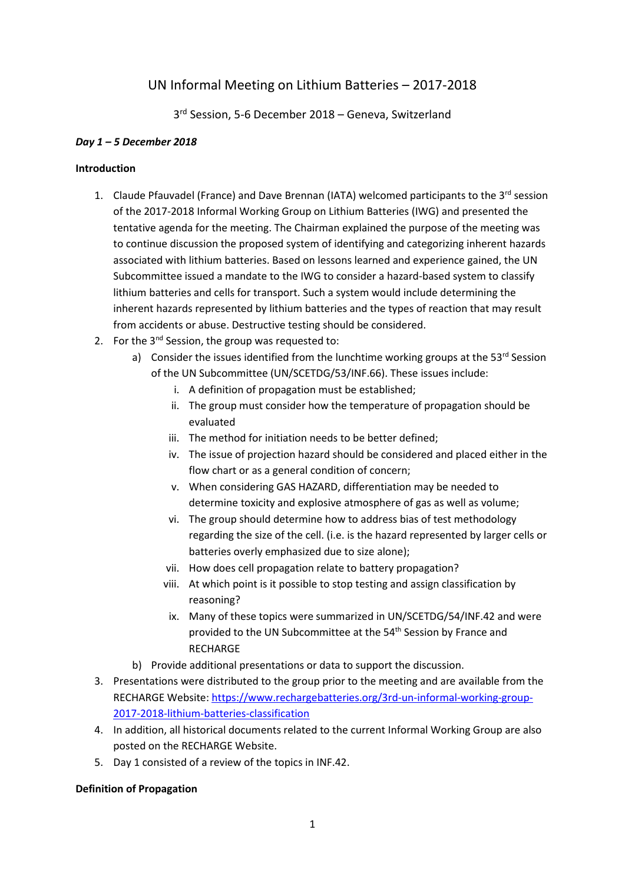# UN Informal Meeting on Lithium Batteries – 2017-2018

3rd Session, 5-6 December 2018 – Geneva, Switzerland

# *Day 1 – 5 December 2018*

# **Introduction**

- 1. Claude Pfauvadel (France) and Dave Brennan (IATA) welcomed participants to the 3<sup>rd</sup> session of the 2017-2018 Informal Working Group on Lithium Batteries (IWG) and presented the tentative agenda for the meeting. The Chairman explained the purpose of the meeting was to continue discussion the proposed system of identifying and categorizing inherent hazards associated with lithium batteries. Based on lessons learned and experience gained, the UN Subcommittee issued a mandate to the IWG to consider a hazard-based system to classify lithium batteries and cells for transport. Such a system would include determining the inherent hazards represented by lithium batteries and the types of reaction that may result from accidents or abuse. Destructive testing should be considered.
- 2. For the  $3^{nd}$  Session, the group was requested to:
	- a) Consider the issues identified from the lunchtime working groups at the  $53^{rd}$  Session of the UN Subcommittee (UN/SCETDG/53/INF.66). These issues include:
		- i. A definition of propagation must be established;
		- ii. The group must consider how the temperature of propagation should be evaluated
		- iii. The method for initiation needs to be better defined;
		- iv. The issue of projection hazard should be considered and placed either in the flow chart or as a general condition of concern;
		- v. When considering GAS HAZARD, differentiation may be needed to determine toxicity and explosive atmosphere of gas as well as volume;
		- vi. The group should determine how to address bias of test methodology regarding the size of the cell. (i.e. is the hazard represented by larger cells or batteries overly emphasized due to size alone);
		- vii. How does cell propagation relate to battery propagation?
		- viii. At which point is it possible to stop testing and assign classification by reasoning?
		- ix. Many of these topics were summarized in UN/SCETDG/54/INF.42 and were provided to the UN Subcommittee at the 54<sup>th</sup> Session by France and RECHARGE
	- b) Provide additional presentations or data to support the discussion.
- 3. Presentations were distributed to the group prior to the meeting and are available from the RECHARGE Website[: https://www.rechargebatteries.org/3rd-un-informal-working-group-](https://www.rechargebatteries.org/3rd-un-informal-working-group-2017-2018-lithium-batteries-classification)[2017-2018-lithium-batteries-classification](https://www.rechargebatteries.org/3rd-un-informal-working-group-2017-2018-lithium-batteries-classification)
- 4. In addition, all historical documents related to the current Informal Working Group are also posted on the RECHARGE Website.
- 5. Day 1 consisted of a review of the topics in INF.42.

# **Definition of Propagation**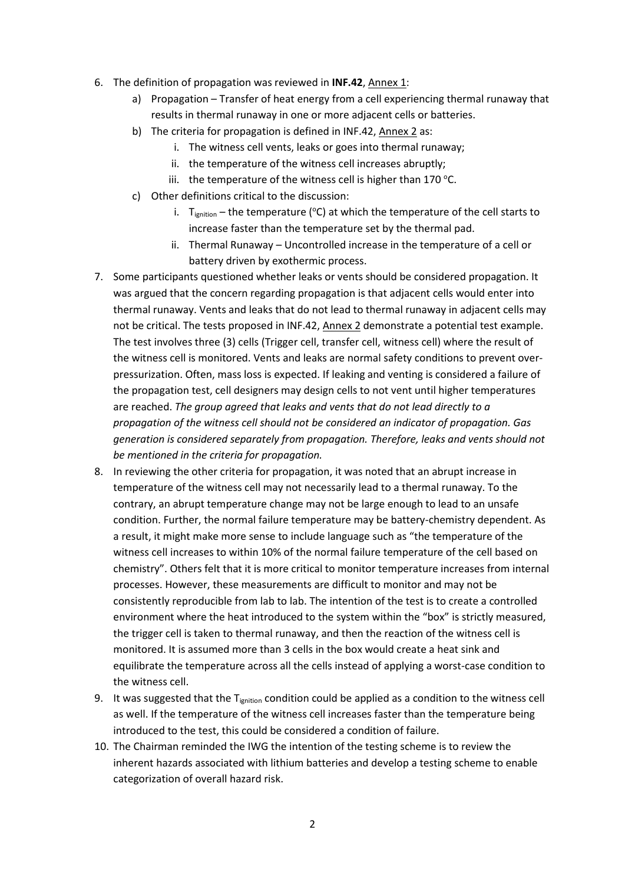- 6. The definition of propagation was reviewed in **INF.42**, Annex 1:
	- a) Propagation Transfer of heat energy from a cell experiencing thermal runaway that results in thermal runaway in one or more adjacent cells or batteries.
	- b) The criteria for propagation is defined in INF.42, Annex 2 as:
		- i. The witness cell vents, leaks or goes into thermal runaway;
		- ii. the temperature of the witness cell increases abruptly;
		- iii. the temperature of the witness cell is higher than 170  $\degree$ C.
	- c) Other definitions critical to the discussion:
		- i.  $T_{ignition}$  the temperature (°C) at which the temperature of the cell starts to increase faster than the temperature set by the thermal pad.
		- ii. Thermal Runaway Uncontrolled increase in the temperature of a cell or battery driven by exothermic process.
- 7. Some participants questioned whether leaks or vents should be considered propagation. It was argued that the concern regarding propagation is that adjacent cells would enter into thermal runaway. Vents and leaks that do not lead to thermal runaway in adjacent cells may not be critical. The tests proposed in INF.42, Annex 2 demonstrate a potential test example. The test involves three (3) cells (Trigger cell, transfer cell, witness cell) where the result of the witness cell is monitored. Vents and leaks are normal safety conditions to prevent overpressurization. Often, mass loss is expected. If leaking and venting is considered a failure of the propagation test, cell designers may design cells to not vent until higher temperatures are reached. *The group agreed that leaks and vents that do not lead directly to a propagation of the witness cell should not be considered an indicator of propagation. Gas generation is considered separately from propagation. Therefore, leaks and vents should not be mentioned in the criteria for propagation.*
- 8. In reviewing the other criteria for propagation, it was noted that an abrupt increase in temperature of the witness cell may not necessarily lead to a thermal runaway. To the contrary, an abrupt temperature change may not be large enough to lead to an unsafe condition. Further, the normal failure temperature may be battery-chemistry dependent. As a result, it might make more sense to include language such as "the temperature of the witness cell increases to within 10% of the normal failure temperature of the cell based on chemistry". Others felt that it is more critical to monitor temperature increases from internal processes. However, these measurements are difficult to monitor and may not be consistently reproducible from lab to lab. The intention of the test is to create a controlled environment where the heat introduced to the system within the "box" is strictly measured, the trigger cell is taken to thermal runaway, and then the reaction of the witness cell is monitored. It is assumed more than 3 cells in the box would create a heat sink and equilibrate the temperature across all the cells instead of applying a worst-case condition to the witness cell.
- 9. It was suggested that the  $T_{ignition}$  condition could be applied as a condition to the witness cell as well. If the temperature of the witness cell increases faster than the temperature being introduced to the test, this could be considered a condition of failure.
- 10. The Chairman reminded the IWG the intention of the testing scheme is to review the inherent hazards associated with lithium batteries and develop a testing scheme to enable categorization of overall hazard risk.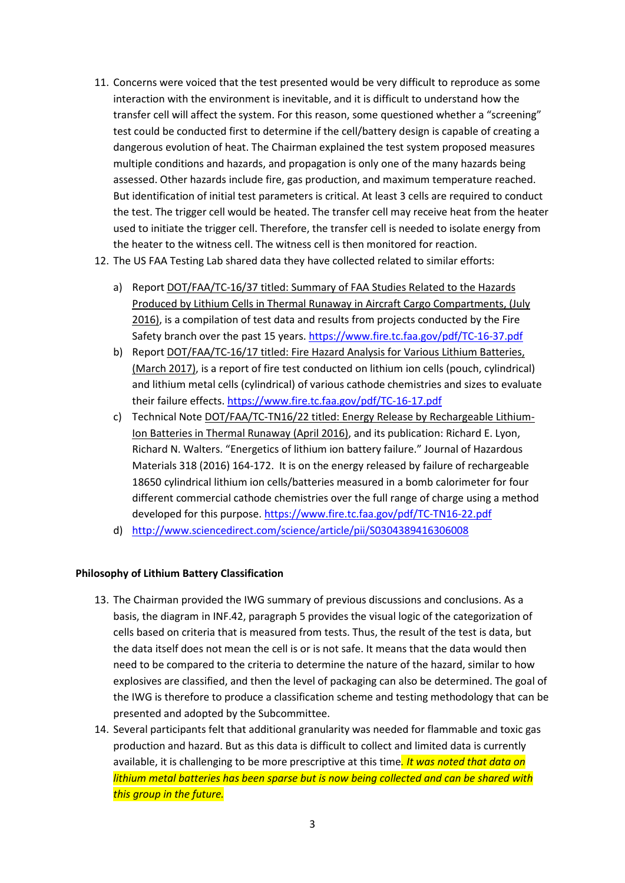- 11. Concerns were voiced that the test presented would be very difficult to reproduce as some interaction with the environment is inevitable, and it is difficult to understand how the transfer cell will affect the system. For this reason, some questioned whether a "screening" test could be conducted first to determine if the cell/battery design is capable of creating a dangerous evolution of heat. The Chairman explained the test system proposed measures multiple conditions and hazards, and propagation is only one of the many hazards being assessed. Other hazards include fire, gas production, and maximum temperature reached. But identification of initial test parameters is critical. At least 3 cells are required to conduct the test. The trigger cell would be heated. The transfer cell may receive heat from the heater used to initiate the trigger cell. Therefore, the transfer cell is needed to isolate energy from the heater to the witness cell. The witness cell is then monitored for reaction.
- 12. The US FAA Testing Lab shared data they have collected related to similar efforts:
	- a) Report DOT/FAA/TC-16/37 titled: Summary of FAA Studies Related to the Hazards Produced by Lithium Cells in Thermal Runaway in Aircraft Cargo Compartments, (July 2016), is a compilation of test data and results from projects conducted by the Fire Safety branch over the past 15 years. <https://www.fire.tc.faa.gov/pdf/TC-16-37.pdf>
	- b) Report DOT/FAA/TC-16/17 titled: Fire Hazard Analysis for Various Lithium Batteries, (March 2017), is a report of fire test conducted on lithium ion cells (pouch, cylindrical) and lithium metal cells (cylindrical) of various cathode chemistries and sizes to evaluate their failure effects. <https://www.fire.tc.faa.gov/pdf/TC-16-17.pdf>
	- c) Technical Note DOT/FAA/TC-TN16/22 titled: Energy Release by Rechargeable Lithium-Ion Batteries in Thermal Runaway (April 2016), and its publication: Richard E. Lyon, Richard N. Walters. "Energetics of lithium ion battery failure." Journal of Hazardous Materials 318 (2016) 164-172. It is on the energy released by failure of rechargeable 18650 cylindrical lithium ion cells/batteries measured in a bomb calorimeter for four different commercial cathode chemistries over the full range of charge using a method developed for this purpose. <https://www.fire.tc.faa.gov/pdf/TC-TN16-22.pdf>
	- d) <http://www.sciencedirect.com/science/article/pii/S0304389416306008>

### **Philosophy of Lithium Battery Classification**

- 13. The Chairman provided the IWG summary of previous discussions and conclusions. As a basis, the diagram in INF.42, paragraph 5 provides the visual logic of the categorization of cells based on criteria that is measured from tests. Thus, the result of the test is data, but the data itself does not mean the cell is or is not safe. It means that the data would then need to be compared to the criteria to determine the nature of the hazard, similar to how explosives are classified, and then the level of packaging can also be determined. The goal of the IWG is therefore to produce a classification scheme and testing methodology that can be presented and adopted by the Subcommittee.
- 14. Several participants felt that additional granularity was needed for flammable and toxic gas production and hazard. But as this data is difficult to collect and limited data is currently available, it is challenging to be more prescriptive at this time*. It was noted that data on lithium metal batteries has been sparse but is now being collected and can be shared with this group in the future.*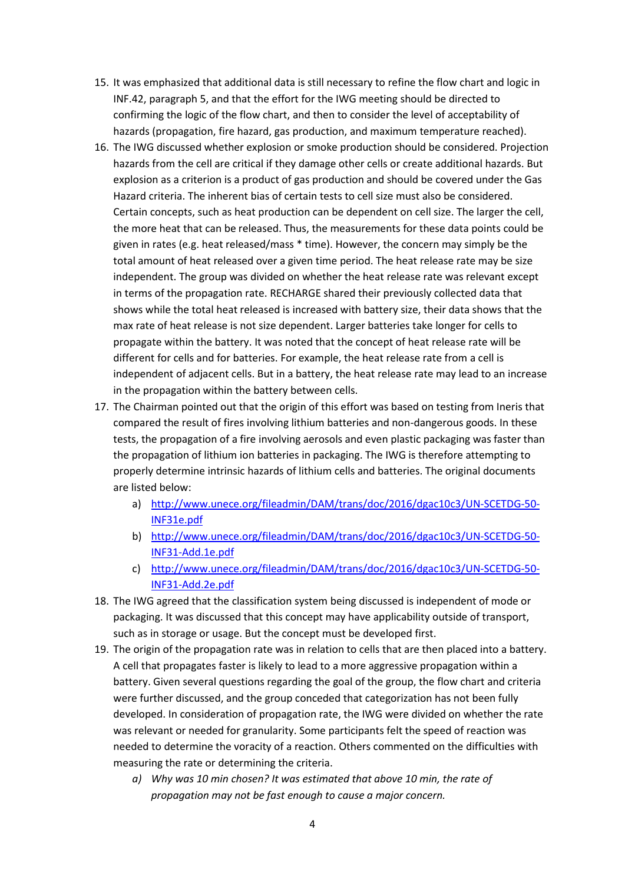- 15. It was emphasized that additional data is still necessary to refine the flow chart and logic in INF.42, paragraph 5, and that the effort for the IWG meeting should be directed to confirming the logic of the flow chart, and then to consider the level of acceptability of hazards (propagation, fire hazard, gas production, and maximum temperature reached).
- 16. The IWG discussed whether explosion or smoke production should be considered. Projection hazards from the cell are critical if they damage other cells or create additional hazards. But explosion as a criterion is a product of gas production and should be covered under the Gas Hazard criteria. The inherent bias of certain tests to cell size must also be considered. Certain concepts, such as heat production can be dependent on cell size. The larger the cell, the more heat that can be released. Thus, the measurements for these data points could be given in rates (e.g. heat released/mass \* time). However, the concern may simply be the total amount of heat released over a given time period. The heat release rate may be size independent. The group was divided on whether the heat release rate was relevant except in terms of the propagation rate. RECHARGE shared their previously collected data that shows while the total heat released is increased with battery size, their data shows that the max rate of heat release is not size dependent. Larger batteries take longer for cells to propagate within the battery. It was noted that the concept of heat release rate will be different for cells and for batteries. For example, the heat release rate from a cell is independent of adjacent cells. But in a battery, the heat release rate may lead to an increase in the propagation within the battery between cells.
- 17. The Chairman pointed out that the origin of this effort was based on testing from Ineris that compared the result of fires involving lithium batteries and non-dangerous goods. In these tests, the propagation of a fire involving aerosols and even plastic packaging was faster than the propagation of lithium ion batteries in packaging. The IWG is therefore attempting to properly determine intrinsic hazards of lithium cells and batteries. The original documents are listed below:
	- a) [http://www.unece.org/fileadmin/DAM/trans/doc/2016/dgac10c3/UN-SCETDG-50-](http://www.unece.org/fileadmin/DAM/trans/doc/2016/dgac10c3/UN-SCETDG-50-INF31e.pdf) [INF31e.pdf](http://www.unece.org/fileadmin/DAM/trans/doc/2016/dgac10c3/UN-SCETDG-50-INF31e.pdf)
	- b) [http://www.unece.org/fileadmin/DAM/trans/doc/2016/dgac10c3/UN-SCETDG-50-](http://www.unece.org/fileadmin/DAM/trans/doc/2016/dgac10c3/UN-SCETDG-50-INF31-Add.1e.pdf) [INF31-Add.1e.pdf](http://www.unece.org/fileadmin/DAM/trans/doc/2016/dgac10c3/UN-SCETDG-50-INF31-Add.1e.pdf)
	- c) [http://www.unece.org/fileadmin/DAM/trans/doc/2016/dgac10c3/UN-SCETDG-50-](http://www.unece.org/fileadmin/DAM/trans/doc/2016/dgac10c3/UN-SCETDG-50-INF31-Add.2e.pdf) [INF31-Add.2e.pdf](http://www.unece.org/fileadmin/DAM/trans/doc/2016/dgac10c3/UN-SCETDG-50-INF31-Add.2e.pdf)
- 18. The IWG agreed that the classification system being discussed is independent of mode or packaging. It was discussed that this concept may have applicability outside of transport, such as in storage or usage. But the concept must be developed first.
- 19. The origin of the propagation rate was in relation to cells that are then placed into a battery. A cell that propagates faster is likely to lead to a more aggressive propagation within a battery. Given several questions regarding the goal of the group, the flow chart and criteria were further discussed, and the group conceded that categorization has not been fully developed. In consideration of propagation rate, the IWG were divided on whether the rate was relevant or needed for granularity. Some participants felt the speed of reaction was needed to determine the voracity of a reaction. Others commented on the difficulties with measuring the rate or determining the criteria.
	- *a) Why was 10 min chosen? It was estimated that above 10 min, the rate of propagation may not be fast enough to cause a major concern.*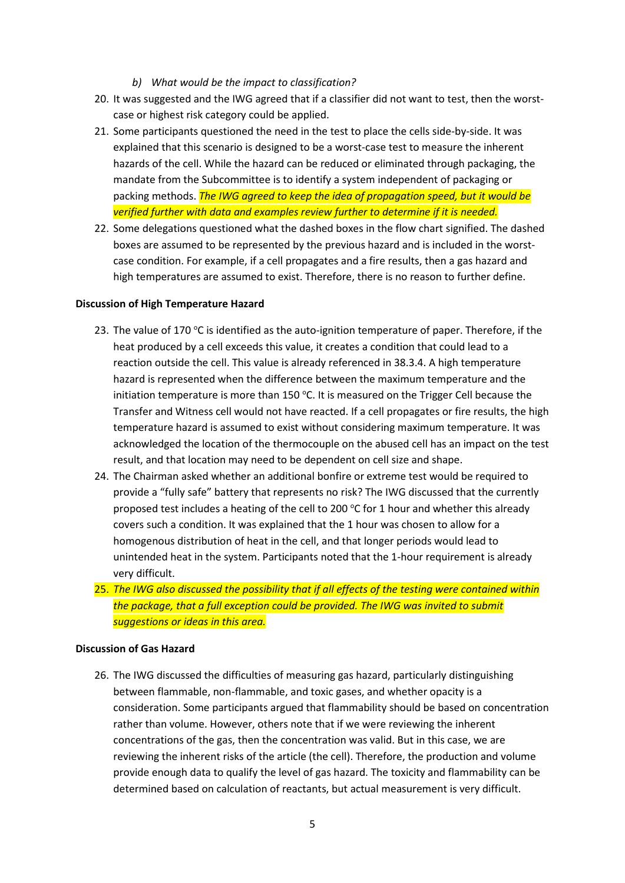- *b) What would be the impact to classification?*
- 20. It was suggested and the IWG agreed that if a classifier did not want to test, then the worstcase or highest risk category could be applied.
- 21. Some participants questioned the need in the test to place the cells side-by-side. It was explained that this scenario is designed to be a worst-case test to measure the inherent hazards of the cell. While the hazard can be reduced or eliminated through packaging, the mandate from the Subcommittee is to identify a system independent of packaging or packing methods. *The IWG agreed to keep the idea of propagation speed, but it would be verified further with data and examples review further to determine if it is needed.*
- 22. Some delegations questioned what the dashed boxes in the flow chart signified. The dashed boxes are assumed to be represented by the previous hazard and is included in the worstcase condition. For example, if a cell propagates and a fire results, then a gas hazard and high temperatures are assumed to exist. Therefore, there is no reason to further define.

#### **Discussion of High Temperature Hazard**

- 23. The value of 170 °C is identified as the auto-ignition temperature of paper. Therefore, if the heat produced by a cell exceeds this value, it creates a condition that could lead to a reaction outside the cell. This value is already referenced in 38.3.4. A high temperature hazard is represented when the difference between the maximum temperature and the initiation temperature is more than  $150$  °C. It is measured on the Trigger Cell because the Transfer and Witness cell would not have reacted. If a cell propagates or fire results, the high temperature hazard is assumed to exist without considering maximum temperature. It was acknowledged the location of the thermocouple on the abused cell has an impact on the test result, and that location may need to be dependent on cell size and shape.
- 24. The Chairman asked whether an additional bonfire or extreme test would be required to provide a "fully safe" battery that represents no risk? The IWG discussed that the currently proposed test includes a heating of the cell to 200  $^{\circ}$ C for 1 hour and whether this already covers such a condition. It was explained that the 1 hour was chosen to allow for a homogenous distribution of heat in the cell, and that longer periods would lead to unintended heat in the system. Participants noted that the 1-hour requirement is already very difficult.
- 25. *The IWG also discussed the possibility that if all effects of the testing were contained within the package, that a full exception could be provided. The IWG was invited to submit suggestions or ideas in this area.*

### **Discussion of Gas Hazard**

26. The IWG discussed the difficulties of measuring gas hazard, particularly distinguishing between flammable, non-flammable, and toxic gases, and whether opacity is a consideration. Some participants argued that flammability should be based on concentration rather than volume. However, others note that if we were reviewing the inherent concentrations of the gas, then the concentration was valid. But in this case, we are reviewing the inherent risks of the article (the cell). Therefore, the production and volume provide enough data to qualify the level of gas hazard. The toxicity and flammability can be determined based on calculation of reactants, but actual measurement is very difficult.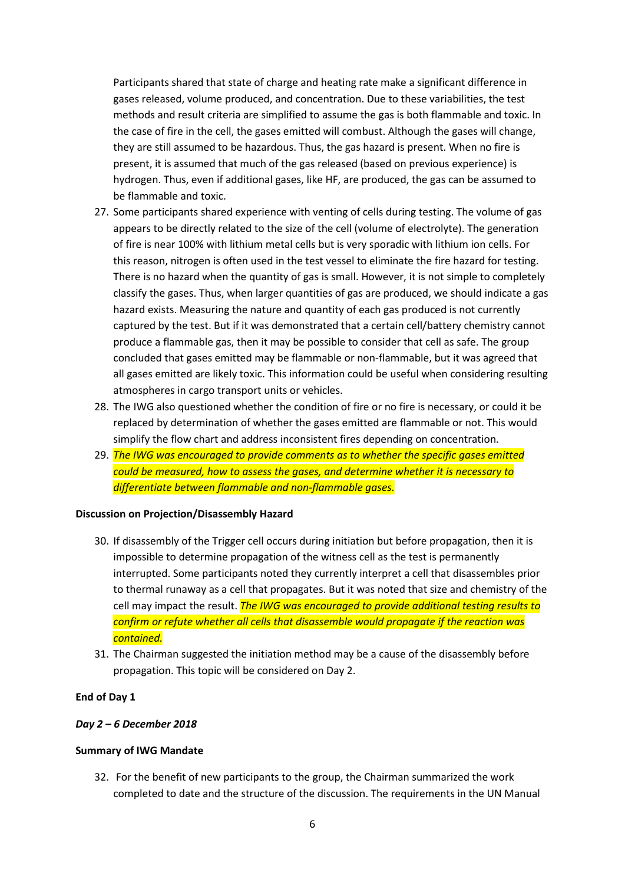Participants shared that state of charge and heating rate make a significant difference in gases released, volume produced, and concentration. Due to these variabilities, the test methods and result criteria are simplified to assume the gas is both flammable and toxic. In the case of fire in the cell, the gases emitted will combust. Although the gases will change, they are still assumed to be hazardous. Thus, the gas hazard is present. When no fire is present, it is assumed that much of the gas released (based on previous experience) is hydrogen. Thus, even if additional gases, like HF, are produced, the gas can be assumed to be flammable and toxic.

- 27. Some participants shared experience with venting of cells during testing. The volume of gas appears to be directly related to the size of the cell (volume of electrolyte). The generation of fire is near 100% with lithium metal cells but is very sporadic with lithium ion cells. For this reason, nitrogen is often used in the test vessel to eliminate the fire hazard for testing. There is no hazard when the quantity of gas is small. However, it is not simple to completely classify the gases. Thus, when larger quantities of gas are produced, we should indicate a gas hazard exists. Measuring the nature and quantity of each gas produced is not currently captured by the test. But if it was demonstrated that a certain cell/battery chemistry cannot produce a flammable gas, then it may be possible to consider that cell as safe. The group concluded that gases emitted may be flammable or non-flammable, but it was agreed that all gases emitted are likely toxic. This information could be useful when considering resulting atmospheres in cargo transport units or vehicles.
- 28. The IWG also questioned whether the condition of fire or no fire is necessary, or could it be replaced by determination of whether the gases emitted are flammable or not. This would simplify the flow chart and address inconsistent fires depending on concentration.
- 29. *The IWG was encouraged to provide comments as to whether the specific gases emitted could be measured, how to assess the gases, and determine whether it is necessary to differentiate between flammable and non-flammable gases.*

### **Discussion on Projection/Disassembly Hazard**

- 30. If disassembly of the Trigger cell occurs during initiation but before propagation, then it is impossible to determine propagation of the witness cell as the test is permanently interrupted. Some participants noted they currently interpret a cell that disassembles prior to thermal runaway as a cell that propagates. But it was noted that size and chemistry of the cell may impact the result. *The IWG was encouraged to provide additional testing results to confirm or refute whether all cells that disassemble would propagate if the reaction was contained.*
- 31. The Chairman suggested the initiation method may be a cause of the disassembly before propagation. This topic will be considered on Day 2.

#### **End of Day 1**

#### *Day 2 – 6 December 2018*

#### **Summary of IWG Mandate**

32. For the benefit of new participants to the group, the Chairman summarized the work completed to date and the structure of the discussion. The requirements in the UN Manual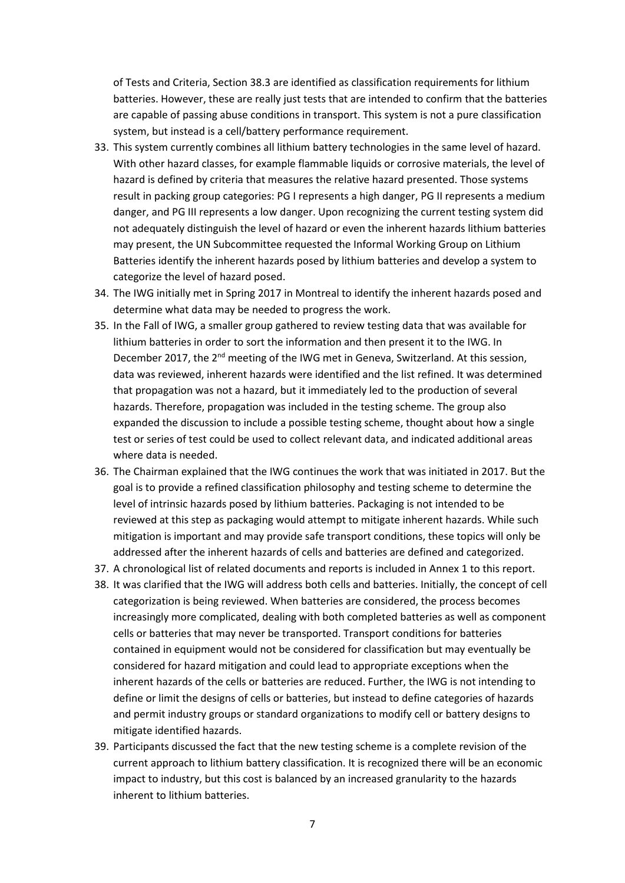of Tests and Criteria, Section 38.3 are identified as classification requirements for lithium batteries. However, these are really just tests that are intended to confirm that the batteries are capable of passing abuse conditions in transport. This system is not a pure classification system, but instead is a cell/battery performance requirement.

- 33. This system currently combines all lithium battery technologies in the same level of hazard. With other hazard classes, for example flammable liquids or corrosive materials, the level of hazard is defined by criteria that measures the relative hazard presented. Those systems result in packing group categories: PG I represents a high danger, PG II represents a medium danger, and PG III represents a low danger. Upon recognizing the current testing system did not adequately distinguish the level of hazard or even the inherent hazards lithium batteries may present, the UN Subcommittee requested the Informal Working Group on Lithium Batteries identify the inherent hazards posed by lithium batteries and develop a system to categorize the level of hazard posed.
- 34. The IWG initially met in Spring 2017 in Montreal to identify the inherent hazards posed and determine what data may be needed to progress the work.
- 35. In the Fall of IWG, a smaller group gathered to review testing data that was available for lithium batteries in order to sort the information and then present it to the IWG. In December 2017, the 2<sup>nd</sup> meeting of the IWG met in Geneva, Switzerland. At this session, data was reviewed, inherent hazards were identified and the list refined. It was determined that propagation was not a hazard, but it immediately led to the production of several hazards. Therefore, propagation was included in the testing scheme. The group also expanded the discussion to include a possible testing scheme, thought about how a single test or series of test could be used to collect relevant data, and indicated additional areas where data is needed.
- 36. The Chairman explained that the IWG continues the work that was initiated in 2017. But the goal is to provide a refined classification philosophy and testing scheme to determine the level of intrinsic hazards posed by lithium batteries. Packaging is not intended to be reviewed at this step as packaging would attempt to mitigate inherent hazards. While such mitigation is important and may provide safe transport conditions, these topics will only be addressed after the inherent hazards of cells and batteries are defined and categorized.
- 37. A chronological list of related documents and reports is included in Annex 1 to this report.
- 38. It was clarified that the IWG will address both cells and batteries. Initially, the concept of cell categorization is being reviewed. When batteries are considered, the process becomes increasingly more complicated, dealing with both completed batteries as well as component cells or batteries that may never be transported. Transport conditions for batteries contained in equipment would not be considered for classification but may eventually be considered for hazard mitigation and could lead to appropriate exceptions when the inherent hazards of the cells or batteries are reduced. Further, the IWG is not intending to define or limit the designs of cells or batteries, but instead to define categories of hazards and permit industry groups or standard organizations to modify cell or battery designs to mitigate identified hazards.
- 39. Participants discussed the fact that the new testing scheme is a complete revision of the current approach to lithium battery classification. It is recognized there will be an economic impact to industry, but this cost is balanced by an increased granularity to the hazards inherent to lithium batteries.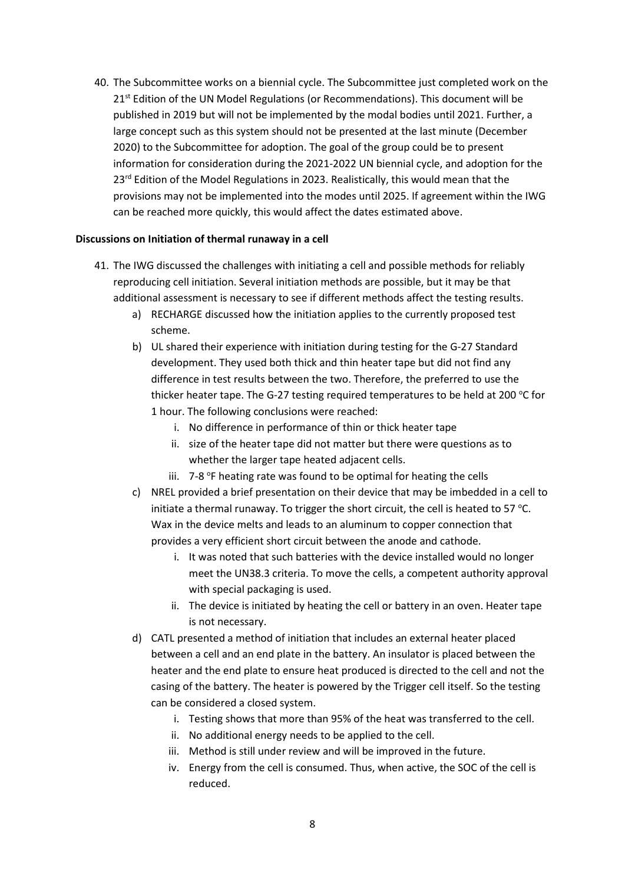40. The Subcommittee works on a biennial cycle. The Subcommittee just completed work on the  $21<sup>st</sup>$  Edition of the UN Model Regulations (or Recommendations). This document will be published in 2019 but will not be implemented by the modal bodies until 2021. Further, a large concept such as this system should not be presented at the last minute (December 2020) to the Subcommittee for adoption. The goal of the group could be to present information for consideration during the 2021-2022 UN biennial cycle, and adoption for the  $23<sup>rd</sup>$  Edition of the Model Regulations in 2023. Realistically, this would mean that the provisions may not be implemented into the modes until 2025. If agreement within the IWG can be reached more quickly, this would affect the dates estimated above.

## **Discussions on Initiation of thermal runaway in a cell**

- 41. The IWG discussed the challenges with initiating a cell and possible methods for reliably reproducing cell initiation. Several initiation methods are possible, but it may be that additional assessment is necessary to see if different methods affect the testing results.
	- a) RECHARGE discussed how the initiation applies to the currently proposed test scheme.
	- b) UL shared their experience with initiation during testing for the G-27 Standard development. They used both thick and thin heater tape but did not find any difference in test results between the two. Therefore, the preferred to use the thicker heater tape. The G-27 testing required temperatures to be held at 200  $^{\circ}$ C for 1 hour. The following conclusions were reached:
		- i. No difference in performance of thin or thick heater tape
		- ii. size of the heater tape did not matter but there were questions as to whether the larger tape heated adjacent cells.
		- iii. 7-8 °F heating rate was found to be optimal for heating the cells
	- c) NREL provided a brief presentation on their device that may be imbedded in a cell to initiate a thermal runaway. To trigger the short circuit, the cell is heated to 57 °C. Wax in the device melts and leads to an aluminum to copper connection that provides a very efficient short circuit between the anode and cathode.
		- i. It was noted that such batteries with the device installed would no longer meet the UN38.3 criteria. To move the cells, a competent authority approval with special packaging is used.
		- ii. The device is initiated by heating the cell or battery in an oven. Heater tape is not necessary.
	- d) CATL presented a method of initiation that includes an external heater placed between a cell and an end plate in the battery. An insulator is placed between the heater and the end plate to ensure heat produced is directed to the cell and not the casing of the battery. The heater is powered by the Trigger cell itself. So the testing can be considered a closed system.
		- i. Testing shows that more than 95% of the heat was transferred to the cell.
		- ii. No additional energy needs to be applied to the cell.
		- iii. Method is still under review and will be improved in the future.
		- iv. Energy from the cell is consumed. Thus, when active, the SOC of the cell is reduced.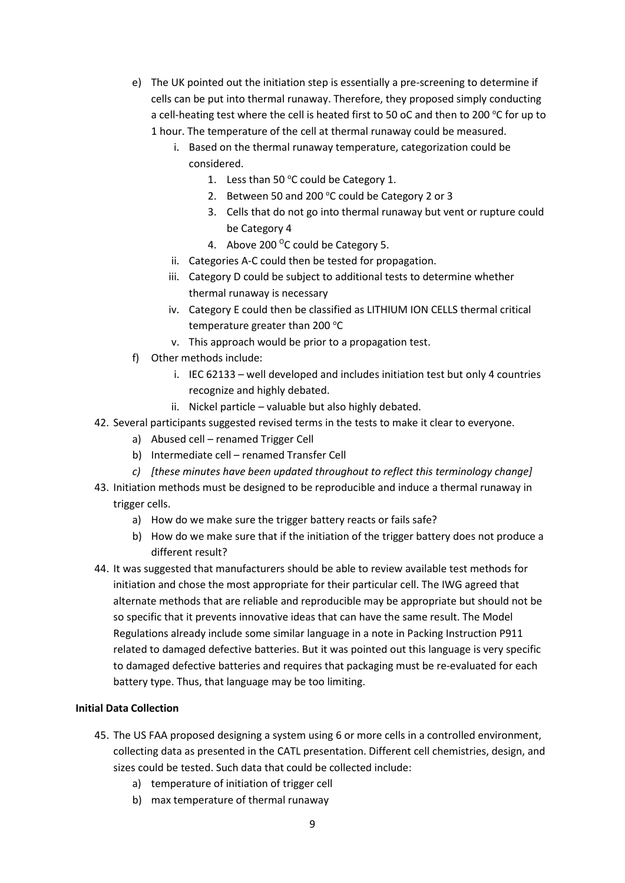- e) The UK pointed out the initiation step is essentially a pre-screening to determine if cells can be put into thermal runaway. Therefore, they proposed simply conducting a cell-heating test where the cell is heated first to 50 oC and then to 200 °C for up to
	- 1 hour. The temperature of the cell at thermal runaway could be measured.
		- i. Based on the thermal runaway temperature, categorization could be considered.
			- 1. Less than 50  $^{\circ}$ C could be Category 1.
			- 2. Between 50 and 200  $\degree$ C could be Category 2 or 3
			- 3. Cells that do not go into thermal runaway but vent or rupture could be Category 4
			- 4. Above 200 $\degree$ C could be Category 5.
		- ii. Categories A-C could then be tested for propagation.
		- iii. Category D could be subject to additional tests to determine whether thermal runaway is necessary
		- iv. Category E could then be classified as LITHIUM ION CELLS thermal critical temperature greater than 200 °C
		- v. This approach would be prior to a propagation test.
- f) Other methods include:
	- i. IEC 62133 well developed and includes initiation test but only 4 countries recognize and highly debated.
	- ii. Nickel particle valuable but also highly debated.
- 42. Several participants suggested revised terms in the tests to make it clear to everyone.
	- a) Abused cell renamed Trigger Cell
	- b) Intermediate cell renamed Transfer Cell
	- *c) [these minutes have been updated throughout to reflect this terminology change]*
- 43. Initiation methods must be designed to be reproducible and induce a thermal runaway in trigger cells.
	- a) How do we make sure the trigger battery reacts or fails safe?
	- b) How do we make sure that if the initiation of the trigger battery does not produce a different result?
- 44. It was suggested that manufacturers should be able to review available test methods for initiation and chose the most appropriate for their particular cell. The IWG agreed that alternate methods that are reliable and reproducible may be appropriate but should not be so specific that it prevents innovative ideas that can have the same result. The Model Regulations already include some similar language in a note in Packing Instruction P911 related to damaged defective batteries. But it was pointed out this language is very specific to damaged defective batteries and requires that packaging must be re-evaluated for each battery type. Thus, that language may be too limiting.

# **Initial Data Collection**

- 45. The US FAA proposed designing a system using 6 or more cells in a controlled environment, collecting data as presented in the CATL presentation. Different cell chemistries, design, and sizes could be tested. Such data that could be collected include:
	- a) temperature of initiation of trigger cell
	- b) max temperature of thermal runaway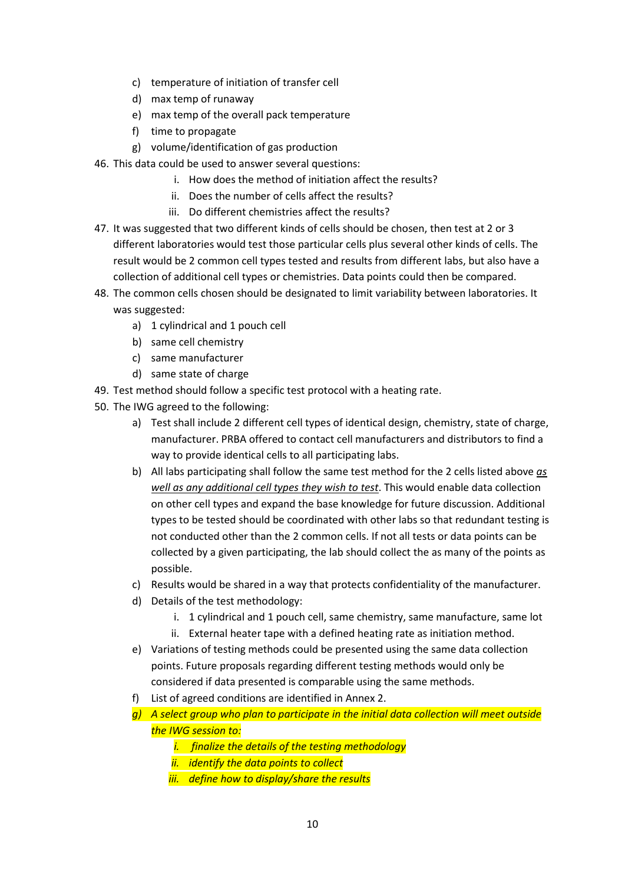- c) temperature of initiation of transfer cell
- d) max temp of runaway
- e) max temp of the overall pack temperature
- f) time to propagate
- g) volume/identification of gas production
- 46. This data could be used to answer several questions:
	- i. How does the method of initiation affect the results?
	- ii. Does the number of cells affect the results?
	- iii. Do different chemistries affect the results?
- 47. It was suggested that two different kinds of cells should be chosen, then test at 2 or 3 different laboratories would test those particular cells plus several other kinds of cells. The result would be 2 common cell types tested and results from different labs, but also have a collection of additional cell types or chemistries. Data points could then be compared.
- 48. The common cells chosen should be designated to limit variability between laboratories. It was suggested:
	- a) 1 cylindrical and 1 pouch cell
	- b) same cell chemistry
	- c) same manufacturer
	- d) same state of charge
- 49. Test method should follow a specific test protocol with a heating rate.
- 50. The IWG agreed to the following:
	- a) Test shall include 2 different cell types of identical design, chemistry, state of charge, manufacturer. PRBA offered to contact cell manufacturers and distributors to find a way to provide identical cells to all participating labs.
	- b) All labs participating shall follow the same test method for the 2 cells listed above *as well as any additional cell types they wish to test*. This would enable data collection on other cell types and expand the base knowledge for future discussion. Additional types to be tested should be coordinated with other labs so that redundant testing is not conducted other than the 2 common cells. If not all tests or data points can be collected by a given participating, the lab should collect the as many of the points as possible.
	- c) Results would be shared in a way that protects confidentiality of the manufacturer.
	- d) Details of the test methodology:
		- i. 1 cylindrical and 1 pouch cell, same chemistry, same manufacture, same lot
		- ii. External heater tape with a defined heating rate as initiation method.
	- e) Variations of testing methods could be presented using the same data collection points. Future proposals regarding different testing methods would only be considered if data presented is comparable using the same methods.
	- f) List of agreed conditions are identified in Annex 2.
	- *g) A select group who plan to participate in the initial data collection will meet outside the IWG session to:*
		- *i. finalize the details of the testing methodology*
		- *ii. identify the data points to collect*
		- *iii. define how to display/share the results*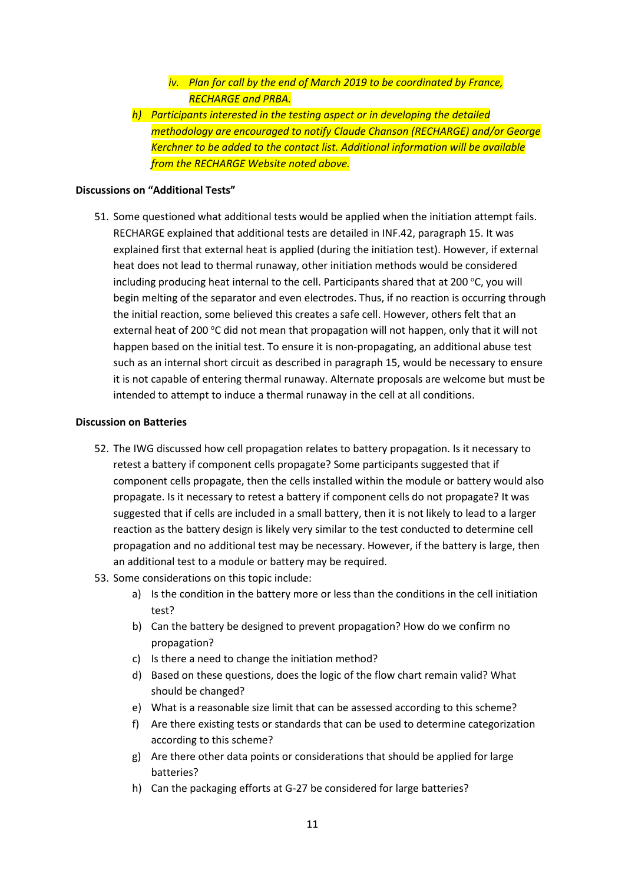- *iv. Plan for call by the end of March 2019 to be coordinated by France, RECHARGE and PRBA.*
- *h) Participants interested in the testing aspect or in developing the detailed methodology are encouraged to notify Claude Chanson (RECHARGE) and/or George Kerchner to be added to the contact list. Additional information will be available from the RECHARGE Website noted above.*

### **Discussions on "Additional Tests"**

51. Some questioned what additional tests would be applied when the initiation attempt fails. RECHARGE explained that additional tests are detailed in INF.42, paragraph 15. It was explained first that external heat is applied (during the initiation test). However, if external heat does not lead to thermal runaway, other initiation methods would be considered including producing heat internal to the cell. Participants shared that at 200 °C, you will begin melting of the separator and even electrodes. Thus, if no reaction is occurring through the initial reaction, some believed this creates a safe cell. However, others felt that an external heat of 200 °C did not mean that propagation will not happen, only that it will not happen based on the initial test. To ensure it is non-propagating, an additional abuse test such as an internal short circuit as described in paragraph 15, would be necessary to ensure it is not capable of entering thermal runaway. Alternate proposals are welcome but must be intended to attempt to induce a thermal runaway in the cell at all conditions.

### **Discussion on Batteries**

- 52. The IWG discussed how cell propagation relates to battery propagation. Is it necessary to retest a battery if component cells propagate? Some participants suggested that if component cells propagate, then the cells installed within the module or battery would also propagate. Is it necessary to retest a battery if component cells do not propagate? It was suggested that if cells are included in a small battery, then it is not likely to lead to a larger reaction as the battery design is likely very similar to the test conducted to determine cell propagation and no additional test may be necessary. However, if the battery is large, then an additional test to a module or battery may be required.
- 53. Some considerations on this topic include:
	- a) Is the condition in the battery more or less than the conditions in the cell initiation test?
	- b) Can the battery be designed to prevent propagation? How do we confirm no propagation?
	- c) Is there a need to change the initiation method?
	- d) Based on these questions, does the logic of the flow chart remain valid? What should be changed?
	- e) What is a reasonable size limit that can be assessed according to this scheme?
	- f) Are there existing tests or standards that can be used to determine categorization according to this scheme?
	- g) Are there other data points or considerations that should be applied for large batteries?
	- h) Can the packaging efforts at G-27 be considered for large batteries?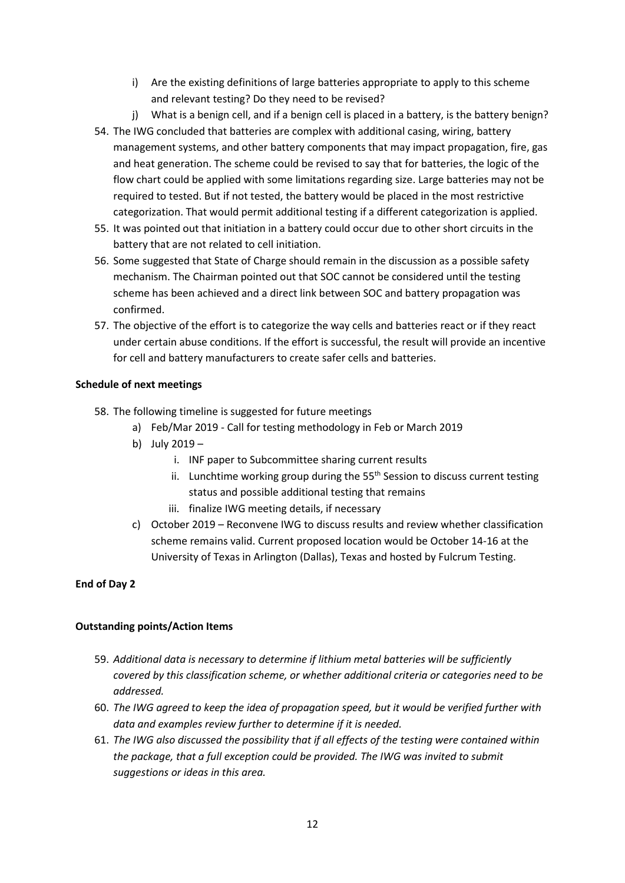- i) Are the existing definitions of large batteries appropriate to apply to this scheme and relevant testing? Do they need to be revised?
- j) What is a benign cell, and if a benign cell is placed in a battery, is the battery benign?
- 54. The IWG concluded that batteries are complex with additional casing, wiring, battery management systems, and other battery components that may impact propagation, fire, gas and heat generation. The scheme could be revised to say that for batteries, the logic of the flow chart could be applied with some limitations regarding size. Large batteries may not be required to tested. But if not tested, the battery would be placed in the most restrictive categorization. That would permit additional testing if a different categorization is applied.
- 55. It was pointed out that initiation in a battery could occur due to other short circuits in the battery that are not related to cell initiation.
- 56. Some suggested that State of Charge should remain in the discussion as a possible safety mechanism. The Chairman pointed out that SOC cannot be considered until the testing scheme has been achieved and a direct link between SOC and battery propagation was confirmed.
- 57. The objective of the effort is to categorize the way cells and batteries react or if they react under certain abuse conditions. If the effort is successful, the result will provide an incentive for cell and battery manufacturers to create safer cells and batteries.

## **Schedule of next meetings**

- 58. The following timeline is suggested for future meetings
	- a) Feb/Mar 2019 Call for testing methodology in Feb or March 2019
	- b) July 2019
		- i. INF paper to Subcommittee sharing current results
		- ii. Lunchtime working group during the  $55<sup>th</sup>$  Session to discuss current testing status and possible additional testing that remains
		- iii. finalize IWG meeting details, if necessary
	- c) October 2019 Reconvene IWG to discuss results and review whether classification scheme remains valid. Current proposed location would be October 14-16 at the University of Texas in Arlington (Dallas), Texas and hosted by Fulcrum Testing.

### **End of Day 2**

### **Outstanding points/Action Items**

- 59. *Additional data is necessary to determine if lithium metal batteries will be sufficiently covered by this classification scheme, or whether additional criteria or categories need to be addressed.*
- 60. *The IWG agreed to keep the idea of propagation speed, but it would be verified further with data and examples review further to determine if it is needed.*
- 61. *The IWG also discussed the possibility that if all effects of the testing were contained within the package, that a full exception could be provided. The IWG was invited to submit suggestions or ideas in this area.*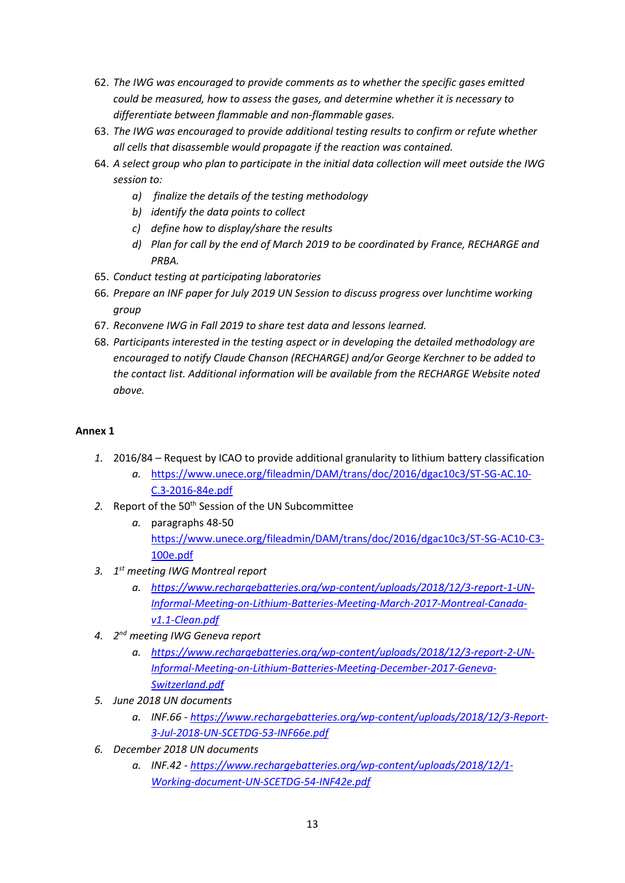- 62. *The IWG was encouraged to provide comments as to whether the specific gases emitted could be measured, how to assess the gases, and determine whether it is necessary to differentiate between flammable and non-flammable gases.*
- 63. *The IWG was encouraged to provide additional testing results to confirm or refute whether all cells that disassemble would propagate if the reaction was contained.*
- 64. *A select group who plan to participate in the initial data collection will meet outside the IWG session to:*
	- *a) finalize the details of the testing methodology*
	- *b) identify the data points to collect*
	- *c) define how to display/share the results*
	- *d) Plan for call by the end of March 2019 to be coordinated by France, RECHARGE and PRBA.*
- 65. *Conduct testing at participating laboratories*
- 66. *Prepare an INF paper for July 2019 UN Session to discuss progress over lunchtime working group*
- 67. *Reconvene IWG in Fall 2019 to share test data and lessons learned.*
- 68. *Participants interested in the testing aspect or in developing the detailed methodology are encouraged to notify Claude Chanson (RECHARGE) and/or George Kerchner to be added to the contact list. Additional information will be available from the RECHARGE Website noted above.*

# **Annex 1**

- *1.* 2016/84 Request by ICAO to provide additional granularity to lithium battery classification
	- *a.* [https://www.unece.org/fileadmin/DAM/trans/doc/2016/dgac10c3/ST-SG-AC.10-](https://www.unece.org/fileadmin/DAM/trans/doc/2016/dgac10c3/ST-SG-AC.10-C.3-2016-84e.pdf) [C.3-2016-84e.pdf](https://www.unece.org/fileadmin/DAM/trans/doc/2016/dgac10c3/ST-SG-AC.10-C.3-2016-84e.pdf)
- 2. Report of the 50<sup>th</sup> Session of the UN Subcommittee
	- *a.* paragraphs 48-50 [https://www.unece.org/fileadmin/DAM/trans/doc/2016/dgac10c3/ST-SG-AC10-C3-](https://www.unece.org/fileadmin/DAM/trans/doc/2016/dgac10c3/ST-SG-AC10-C3-100e.pdf) [100e.pdf](https://www.unece.org/fileadmin/DAM/trans/doc/2016/dgac10c3/ST-SG-AC10-C3-100e.pdf)
- *3. 1st meeting IWG Montreal report*
	- *a. [https://www.rechargebatteries.org/wp-content/uploads/2018/12/3-report-1-UN-](https://www.rechargebatteries.org/wp-content/uploads/2018/12/3-report-1-UN-Informal-Meeting-on-Lithium-Batteries-Meeting-March-2017-Montreal-Canada-v1.1-Clean.pdf)[Informal-Meeting-on-Lithium-Batteries-Meeting-March-2017-Montreal-Canada](https://www.rechargebatteries.org/wp-content/uploads/2018/12/3-report-1-UN-Informal-Meeting-on-Lithium-Batteries-Meeting-March-2017-Montreal-Canada-v1.1-Clean.pdf)[v1.1-Clean.pdf](https://www.rechargebatteries.org/wp-content/uploads/2018/12/3-report-1-UN-Informal-Meeting-on-Lithium-Batteries-Meeting-March-2017-Montreal-Canada-v1.1-Clean.pdf)*
- *4. 2nd meeting IWG Geneva report*
	- *a. [https://www.rechargebatteries.org/wp-content/uploads/2018/12/3-report-2-UN-](https://www.rechargebatteries.org/wp-content/uploads/2018/12/3-report-2-UN-Informal-Meeting-on-Lithium-Batteries-Meeting-December-2017-Geneva-Switzerland.pdf)[Informal-Meeting-on-Lithium-Batteries-Meeting-December-2017-Geneva-](https://www.rechargebatteries.org/wp-content/uploads/2018/12/3-report-2-UN-Informal-Meeting-on-Lithium-Batteries-Meeting-December-2017-Geneva-Switzerland.pdf)[Switzerland.pdf](https://www.rechargebatteries.org/wp-content/uploads/2018/12/3-report-2-UN-Informal-Meeting-on-Lithium-Batteries-Meeting-December-2017-Geneva-Switzerland.pdf)*
- *5. June 2018 UN documents*
	- *a. INF.66 - [https://www.rechargebatteries.org/wp-content/uploads/2018/12/3-Report-](https://www.rechargebatteries.org/wp-content/uploads/2018/12/3-Report-3-Jul-2018-UN-SCETDG-53-INF66e.pdf)[3-Jul-2018-UN-SCETDG-53-INF66e.pdf](https://www.rechargebatteries.org/wp-content/uploads/2018/12/3-Report-3-Jul-2018-UN-SCETDG-53-INF66e.pdf)*
- *6. December 2018 UN documents*
	- *a. INF.42 - [https://www.rechargebatteries.org/wp-content/uploads/2018/12/1-](https://www.rechargebatteries.org/wp-content/uploads/2018/12/1-Working-document-UN-SCETDG-54-INF42e.pdf) [Working-document-UN-SCETDG-54-INF42e.pdf](https://www.rechargebatteries.org/wp-content/uploads/2018/12/1-Working-document-UN-SCETDG-54-INF42e.pdf)*